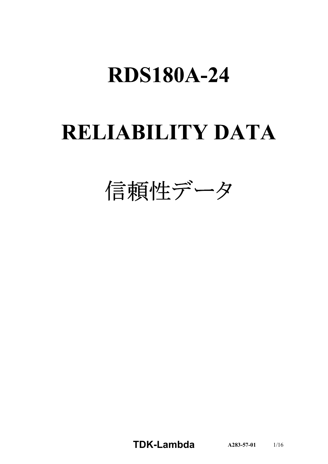# **RDS180A-24**

# **RELIABILITY DATA**

信頼性データ

TDK-Lambda A283-57-01 1/16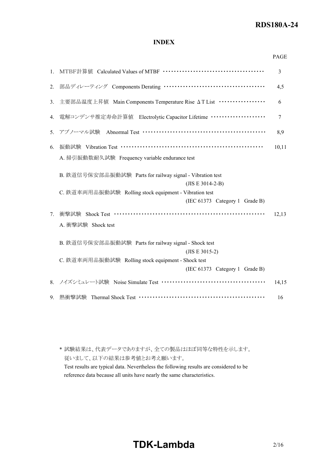# RDS180A-24

# INDEX

|    |                                                                     | PAGE           |
|----|---------------------------------------------------------------------|----------------|
| 1. |                                                                     | 3              |
| 2. | 部品ディレーティング Components Derating …………………………………                        | 4,5            |
| 3. | 主要部品温度上昇值 Main Components Temperature Rise AT List ················ | 6              |
| 4. | 電解コンデンサ推定寿命計算値 Electrolytic Capacitor Lifetime ···················  | $\overline{7}$ |
|    | 5. アブノーマル試験 Abnormal Test ………………………………………………                        | 8,9            |
| 6. | 振動試験 Vibration Test ……………………………………………………                            | 10, 11         |
|    | A. 掃引振動数耐久試験 Frequency variable endurance test                      |                |
|    | B. 鉄道信号保安部品振動試験 Parts for railway signal - Vibration test           |                |
|    | $(JIS E 3014-2-B)$                                                  |                |
|    | C. 鉄道車両用品振動試験 Rolling stock equipment - Vibration test              |                |
|    | (IEC 61373 Category 1 Grade B)                                      |                |
| 7. | 衝擊試験 Shock Test …………………………………………………………                              | 12,13          |
|    | A. 衝擊試験 Shock test                                                  |                |
|    | B. 鉄道信号保安部品振動試験 Parts for railway signal - Shock test               |                |
|    | $(JIS E 3015-2)$                                                    |                |
|    | C. 鉄道車両用品振動試験 Rolling stock equipment - Shock test                  |                |
|    | (IEC 61373 Category 1 Grade B)                                      |                |
| 8. |                                                                     | 14,15          |
| 9. |                                                                     | 16             |

\* 試験結果は、代表データでありますが、全ての製品はほぼ同等な特性を示します。 従いまして、以下の結果は参考値とお考え願います。 Test results are typical data. Nevertheless the following results are considered to be reference data because all units have nearly the same characteristics.

# TDK-Lambda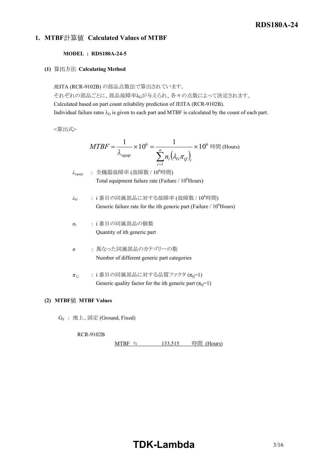# 1. MTBF計算値 Calculated Values of MTBF

## MODEL : RDS180A-24-5

(1) 算出方法 Calculating Method

JEITA (RCR-9102B) の部品点数法で算出されています。

それぞれの部品ごとに、部品故障率λGが与えられ、各々の点数によって決定されます。 Calculated based on part count reliability prediction of JEITA (RCR-9102B).

Individual failure rates  $\lambda_G$  is given to each part and MTBF is calculated by the count of each part.

<算出式>

時間 (Hours) 6 1 6 <sup>10</sup> <sup>1</sup> <sup>10</sup> <sup>1</sup> n i G Q i i equip n MTBF λ

 $\lambda_{\textit{equip}}$  : 全機器故障率 (故障数 / 10<sup>6</sup>時間) Total equipment failure rate (Failure  $/ 10^6$ Hours)

- $\lambda_G$  : i番目の同属部品に対する故障率 (故障数 / 10<sup>6</sup>時間) Generic failure rate for the ith generic part (Failure  $/ 10^6$ Hours)
- $n_i$  : i 番目の同属部品の個数 Quantity of ith generic part
- n : 異なった同属部品のカテゴリーの数 Number of different generic part categories
- $\pi_{\Omega}$  : i番目の同属部品に対する品質ファクタ ( $\pi_{\Omega}$ =1) Generic quality factor for the ith generic part  $(\pi_0=1)$

## (2) MTBF值 MTBF Values

G<sup>F</sup> : 地上、固定 (Ground, Fixed)

## RCR-9102B

```
MTBF ≒ 133,515 時間 (Hours)
```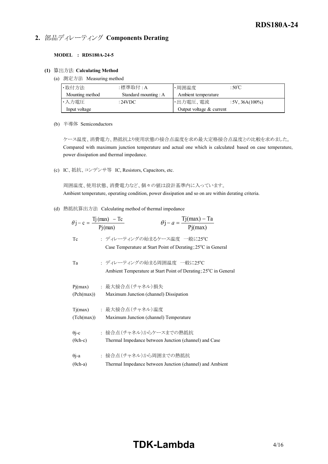# 2. 部品ディレーティング Components Derating

#### MODEL : RDS180A-24-5

#### (1) 算出方法 Calculating Method

(a) 測定方法 Measuring method

|                                               |                              |                     | <b>RDS180A-24</b> |
|-----------------------------------------------|------------------------------|---------------------|-------------------|
|                                               | ディレーティング Components Derating |                     |                   |
| ODEL : RDS180A-24-5<br>出方法 Calculating Method |                              |                     |                   |
|                                               |                              |                     |                   |
| 測定方法 Measuring method<br>·取付方法                | :標準取付:A                      | ·周囲温度               | :50 $\degree$ C   |
| Mounting method                               | Standard mounting: A         | Ambient temperature |                   |
| ·入力電圧                                         | :24VDC                       | ・出力電圧、電流            | $:5V, 36A(100\%)$ |

(b) 半導体 Semiconductors

ケース温度、消費電力、熱抵抗より使用状態の接合点温度を求め最大定格接合点温度との比較を求めました。 Compared with maximum junction temperature and actual one which is calculated based on case temperature, power dissipation and thermal impedance.

(c) IC、抵抗、コンデンサ等 IC, Resistors, Capacitors, etc.

周囲温度、使用状態、消費電力など、個々の値は設計基準内に入っています。 Ambient temperature, operating condition, power dissipation and so on are within derating criteria.

(d) 熱抵抗算出方法 Calculating method of thermal impedance

|                 | $\theta j - a = \frac{Tj(max) - Ta}{Pj(max)}$<br>$\theta$ j – c = $\frac{Tj(max) - Tc}{Pj(max)}$        |
|-----------------|---------------------------------------------------------------------------------------------------------|
| Tc              | : ディレーティングの始まるケース温度 一般に25℃<br>Case Temperature at Start Point of Derating; 25 <sup>°</sup> C in General |
| Ta              | : ディレーティングの始まる周囲温度 一般に25℃<br>Ambient Temperature at Start Point of Derating; 25°C in General            |
| Pj(max)         | : 最大接合点(チャネル)損失                                                                                         |
| (Pch(max))      | Maximum Junction (channel) Dissipation                                                                  |
| Tj(max)         | : 最大接合点 (チャネル)温度                                                                                        |
| (Tch(max))      | Maximum Junction (channel) Temperature                                                                  |
| $\theta$ j-c    | : 接合点(チャネル)からケースまでの熱抵抗                                                                                  |
| $(\theta$ ch-c) | Thermal Impedance between Junction (channel) and Case                                                   |
| $\theta$ j-a    | : 接合点(チャネル)から周囲までの熱抵抗                                                                                   |
| $(\theta$ ch-a) | Thermal Impedance between Junction (channel) and Ambient                                                |

# TDK-Lambda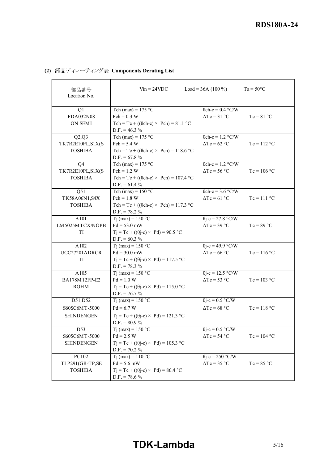|                                      |                                                                                            |                                                         | <b>RDS180A-24</b>  |
|--------------------------------------|--------------------------------------------------------------------------------------------|---------------------------------------------------------|--------------------|
|                                      |                                                                                            |                                                         |                    |
|                                      |                                                                                            |                                                         |                    |
|                                      | 部品ディレーティング表 Components Derating List                                                       |                                                         |                    |
| 部品番号<br>Location No.                 | $V_{in} = 24 VDC$                                                                          | Load = $36A(100\%)$                                     | $Ta = 50^{\circ}C$ |
| Q1                                   | Tch (max) = $175$ °C                                                                       | $\theta$ ch-c = 0.4 °C/W                                |                    |
| FDA032N08<br>ON SEMI                 | $Pch = 0.3 W$<br>Tch = Tc + (( $\theta$ ch-c) × Pch) = 81.1 °C<br>D.F. = $46.3\%$          | $\Delta Tc = 31$ °C                                     | $Tc = 81 °C$       |
| Q2,Q3                                | Tch (max) = $175 °C$                                                                       | $\theta$ ch-c = 1.2 °C/W                                |                    |
| TK7R2E10PL,S1X(S<br><b>TOSHIBA</b>   | $Pch = 5.4 W$<br>Tch = Tc + (( $\theta$ ch-c) × Pch) = 118.6 °C<br>D.F. = $67.8\%$         | $\Delta Tc = 62 °C$                                     | $Tc = 112 °C$      |
| $\overline{Q4}$                      | Tch (max) = $175$ °C                                                                       | $\theta$ ch-c = 1.2 °C/W                                |                    |
| TK7R2E10PL,S1X(S<br><b>TOSHIBA</b>   | $Pch = 1.2 W$<br>Tch = Tc + (( $\theta$ ch-c) × Pch) = 107.4 °C<br>D.F. = $61.4\%$         | $\Delta Tc = 56 °C$                                     | $Tc = 106 °C$      |
| Q51                                  | Tch (max) = $150 °C$                                                                       | $\theta$ ch-c = 3.6 °C/W                                |                    |
| TK58A06N1, S4X<br><b>TOSHIBA</b>     | $Pch = 1.8 W$<br>Tch = Tc + (( $\theta$ ch-c) × Pch) = 117.3 °C                            | $\Delta Tc = 61$ °C                                     | $Tc = 111 °C$      |
| A101                                 | D.F. = $78.2\%$<br>$Tj$ (max) = 150 °C                                                     | $\theta$ j-c = 27.8 °C/W                                |                    |
| LM5025MTCX/NOPB<br>TI                | $Pd = 53.0$ mW<br>$Tj = Tc + ((\theta j - c) \times Pd) = 90.5$ °C                         | $\Delta Tc = 39 \degree C$                              | $Tc = 89 °C$       |
|                                      | D.F. = $60.3\%$                                                                            |                                                         |                    |
| A102<br>UCC27201ADRCR<br>TI          | Tj (max) = $150 °C$<br>$Pd = 30.0$ mW<br>$Tj = Tc + ((\theta j - c) \times Pd) = 117.5$ °C | $\theta$ j-c = 49.9 °C/W<br>$\Delta Tc = 66$ °C         | $Tc = 116 °C$      |
|                                      | $D.F. = 78.3 %$                                                                            |                                                         |                    |
| A105<br>BA178M12FP-E2<br><b>ROHM</b> | Tj (max) = $150 °C$<br>$Pd = 1.0 W$<br>$Tj = Tc + ((\theta j - c) \times Pd) = 115.0 °C$   | $\theta$ j-c = 12.5 °C/W<br>$\Delta Tc = 53 \text{ °C}$ | $Tc = 103 °C$      |
|                                      | $D.F. = 76.7 %$                                                                            |                                                         |                    |
| D51, D52                             | Tj (max) = $150 °C$                                                                        | $\theta$ j-c = 0.5 °C/W                                 |                    |
| S60SC6MT-5000                        | $Pd = 6.7 W$                                                                               | $\Delta Tc = 68 °C$                                     | $Tc = 118 °C$      |
| <b>SHINDENGEN</b>                    | $Tj = Tc + ((\theta j - c) \times Pd) = 121.3 °C$<br>D.F. = $80.9\%$                       |                                                         |                    |
| $\overline{D53}$<br>S60SC6MT-5000    | Tj (max) = $150 °C$<br>$Pd = 2.5 W$                                                        | $\theta$ j-c = 0.5 °C/W<br>$\Delta Tc = 54 °C$          | $Tc = 104 °C$      |
| <b>SHINDENGEN</b>                    | $Tj = Tc + ((\theta j - c) \times Pd) = 105.3$ °C<br>$D.F. = 70.2 \%$                      |                                                         |                    |
| PC102                                | $Tj(max) = 110 °C$                                                                         | $\theta$ j-c = 250 °C/W                                 |                    |
| TLP291(GR-TP,SE<br><b>TOSHIBA</b>    | $Pd = 5.6$ mW<br>$Tj = Tc + ((\theta j - c) \times Pd) = 86.4 °C$<br>$D.F. = 78.6 %$       | $\Delta Tc = 35$ °C                                     | $Tc = 85 °C$       |

# (2) 部品ディレーティング表 Components Derating List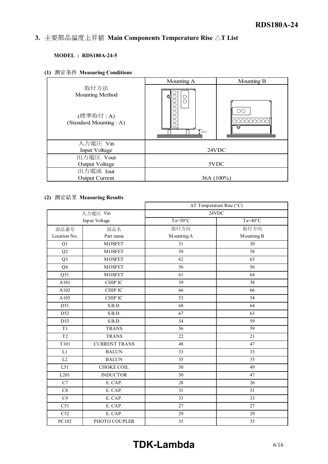#### Instruction manual contract to the contract of the contract of the contract of the contract of the contract of the contract of the contract of the contract of the contract of the contract of the contract of the contract of 3. 主要部品温度上昇值 Main Components Temperature Rise  $\Delta T$  List

# MODEL : RDS180A-24-5

|                                                    |                                  | <b>RDS180A-24</b> |
|----------------------------------------------------|----------------------------------|-------------------|
|                                                    |                                  |                   |
| 主要部品温度上昇値 Main Components Temperature Rise △T List |                                  |                   |
|                                                    |                                  |                   |
| <b>MODEL: RDS180A-24-5</b>                         |                                  |                   |
|                                                    |                                  |                   |
|                                                    |                                  |                   |
| 1) 測定条件 Measuring Conditions                       |                                  |                   |
|                                                    | Mounting A                       | Mounting B        |
| 取付方法<br>Mounting Method                            |                                  |                   |
|                                                    | 000000000<br>Õ<br>$\rm ^{\circ}$ |                   |
|                                                    |                                  | $\circ$           |
| (標準取付:A)                                           |                                  |                   |
| (Standard Mounting: A)                             |                                  | 000000000         |
|                                                    | $\overline{1}$ 10mm              | ы                 |
|                                                    |                                  |                   |
| 入力電圧 Vin                                           |                                  |                   |
| Input Voltage                                      |                                  | 24VDC             |
| 出力電圧 Vout                                          |                                  |                   |
| <b>Output Voltage</b>                              | 5VDC                             |                   |
| 出力電流 Iout                                          |                                  |                   |
| <b>Output Current</b>                              | 36A (100%)                       |                   |
|                                                    |                                  |                   |
| 2) 測定結果 Measuring Results                          |                                  |                   |
|                                                    | $\Delta T$ Temperature Rise (°C) |                   |
| 入力雷斥 Vin                                           |                                  | 24VDC             |

# (2) 測定結果 Measuring Results

|                 |                      |                  | $\Delta T$ Temperature Rise (°C) |
|-----------------|----------------------|------------------|----------------------------------|
|                 | 入力電圧 Vin             |                  | 24VDC                            |
|                 | Input Voltage        | $Ta=50^{\circ}C$ | $Ta=40^{\circ}C$                 |
| 部品番号            | 部品名                  | 取付方向             | 取付方向                             |
| Location No.    | Part name            | Mounting A       | Mounting B                       |
| Q1              | <b>MOSFET</b>        | 31               | 30                               |
| Q2              | <b>MOSFET</b>        | 58               | 58                               |
| Q <sub>3</sub>  | <b>MOSFET</b>        | 62               | 63                               |
| Q <sub>4</sub>  | <b>MOSFET</b>        | 56               | 56                               |
| Q51             | <b>MOSFET</b>        | 61               | 64                               |
| A101            | CHIP IC              | 39               | 38                               |
| A102            | CHIP IC              | 66               | 66                               |
| A105            | CHIP IC              | 53               | 54                               |
| D51             | S.B.D.               | 68               | 64                               |
| D <sub>52</sub> | S.B.D.               | 67               | 63                               |
| D53             | S.B.D.               | 54               | 59                               |
| T1              | <b>TRANS</b>         | 56               | 59                               |
| T <sub>2</sub>  | <b>TRANS</b>         | 22               | 21                               |
| T101            | <b>CURRENT TRANS</b> | 48               | 47                               |
| L1              | <b>BALUN</b>         | 33               | 33                               |
| L2              | <b>BALUN</b>         | 35               | 35                               |
| L51             | <b>CHOKE COIL</b>    | 50               | 49                               |
| L201            | <b>INDUCTOR</b>      | 50               | 47                               |
| $\overline{C7}$ | E. CAP.              | 28               | 26                               |
| C8              | E. CAP.              | 31               | 31                               |
| C9              | E. CAP.              | 33               | 33                               |
| C51             | E. CAP.              | 27               | 27                               |
| C52             | E. CAP.              | 29               | 29                               |
| PC102           | PHOTO COUPLER        | 35               | 35                               |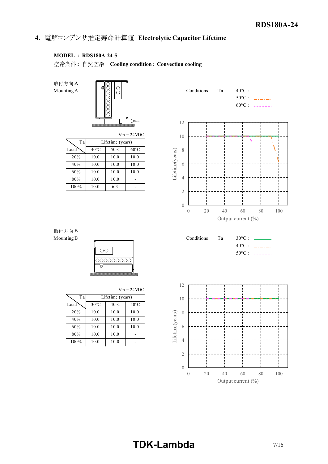# 4. 電解コンデンサ推定寿命計算値 Electrolytic Capacitor Lifetime

# MODEL : RDS180A-24-5

空冷条件: 自然空冷 Cooling condition: Convection cooling

取付方向 B



|         |                |                  | $V \cup V = 24 V \cup V$ |
|---------|----------------|------------------|--------------------------|
| Tal     |                | Lifetime (years) |                          |
| Load    | $40^{\circ}$ C | $50^{\circ}$ C   | $60^{\circ}$ C           |
| 20%     | 10.0           | 10.0             | 10.0                     |
| 40%     | 10.0           | 10.0             | 10.0                     |
| 60%     | 10.0           | 10.0             | 10.0                     |
| 80%     | 10.0           | 10.0             |                          |
| $100\%$ | 10 0           | 63               |                          |





| ın |  | 4VDC |
|----|--|------|
|    |  |      |

| Ta   |                | Lifetime (years) |                | 10       |
|------|----------------|------------------|----------------|----------|
| Load | $30^{\circ}$ C | $40^{\circ}$ C   | $50^{\circ}$ C |          |
| 20%  | 10.0           | 10.0             | 10.0           | 8        |
| 40%  | 10.0           | 10.0             | 10.0           | e(years) |
| 60%  | 10.0           | 10.0             | 10.0           | 6        |
| 80%  | 10.0           | 10.0             |                | ifetir   |
| 100% | 10.0           | 10.0             |                |          |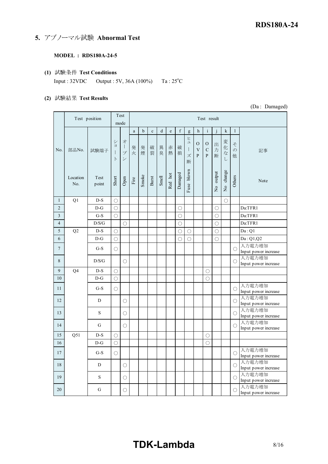5. アブノーマル試験 Abnormal Test

#### MODEL : RDS180A-24-5

(1) 試験条件 Test Conditions Input : 32VDC Output : 5V, 36A (100%) Ta : 25°C

#### (2) 試験結果 Test Results

Test mode a b c d e f g h i j k l  $\begin{array}{|c|c|c|}\hline \text{N0.} & \text{mBNo.} & \text{mB.} \hline \end{array}$ ショ ョ ー ト ン オ 発 プ 発 煙 発 煙 | 裂 | 臭 | 熱 | 損 | 〟| , 破 異 赤 破 」 破 | ヒュ  $0|0$  $V \mid C$  $\chi$  | P | P 断  $\mathbf{O} \left[ \left. \mathbf{O} \right| \left. \frac{1}{2} \mathbf{E} \right| \right]$   $\mathcal{Z} \left[ \left. \frac{1}{2} \right]$ V | C | 力 | '¦ー | の | 「記事 | | 」 P O C | 力 | '¦- | の | 「記事 | | 記事 | 1 P | 断 |  $\left\langle \begin{array}{c} \circ \\ \circ \end{array} \right\rangle$  他 |  $\left\langle \begin{array}{c} \circ \\ \circ \end{array} \right\rangle$ 出 · 力<br>断 断 他 変 化 な し そ  $\varnothing$ 記事  $\begin{array}{c|c|c|c|c} \text{Location} & \text{Test} & \frac{1}{6} & \frac{1}{6} & \frac{1}{6} & \frac{1}{6} & \frac{1}{6} \\ \text{No.} & \text{point} & \frac{1}{6} & \frac{1}{6} & \frac{1}{6} & \frac{1}{6} & \frac{1}{6} & \frac{1}{6} \\ \end{array}$ No. point Test  $\begin{array}{c|c|c|c|c|c} \text{Test} & \text{B} & \text{B} & \text{B} & \text{B} & \text{B} & \text{B} & \text{B} & \text{B} & \text{B} & \text{B} & \text{B} & \text{B} & \text{B} & \text{B} & \text{B} & \text{B} & \text{B} & \text{B} & \text{B} & \text{B} & \text{B} & \text{B} & \text{B} & \text{B} & \text{B} & \text{B} & \text{B} & \text{B} & \text{B} & \text{B} & \text{B} & \text{B} & \text{B}$ 1 Continent Description Test<br>
(Da: Darma<br>
1 Continent SV, 36A (100%) Ta: 2S°C<br>
(See Section Test Results<br>
1 Continued a b c d c f g b i j k 1<br>
1 D-S O<br>
1 D-S O<br>
2 D-G O<br>
2 D-G O<br>
2 D-G O<br>
2 D-S O<br>
2 D-S O<br>
2 D-S O<br>
2 D-S 2 D-G ○ ○ ○ Da:TFR1 3 General Test Conduction<br>
Test Pestikus<br>
Test Results<br>
Test Pestikus<br>
Test Pestikus<br>
Test Pestikus<br>
Test Pestikus<br>
Test Pestikus<br>
Test Pestikus<br>
Test Pestikus<br>
Test Pestikus<br>
Test Pestikus<br>
Test Pestikus<br>
Test Pestikus<br> put: 32VDC Output: 5V, 36A (100%) 1a: 2S°C<br>
USE: Text position<br>
Text position<br>
Text position<br>
Text position<br>  $\frac{1}{4}$ <br>  $\frac{1}{4}$ <br>  $\frac{1}{2}$ <br>  $\frac{1}{4}$ <br>  $\frac{1}{2}$ <br>  $\frac{1}{2}$ <br>  $\frac{1}{2}$ <br>  $\frac{1}{2}$ <br>  $\frac{1}{2}$ <br>  $\frac{1}{2}$ <br>  $\$ 5 Q2 D-S ○ ○ ○ ○ Da : Q1  $\begin{array}{|c|c|c|c|c|c|c|c|c|} \hline \textbf{Test} & \textbf{Test result} & \textbf{(Da: Danneded)}\\[1mm] \hline \textbf{Test position} & \textbf{most} & \textbf{most} & \textbf{Test result}\\[1mm] \hline \textbf{Test position} & \textbf{most} & \textbf{not} & \textbf{not} & \textbf{not} & \textbf{not} \\[1mm] \hline \textbf{IC} & \textbf{St} & \textbf{St} & \textbf{St} & \textbf{St} & \textbf{St} & \textbf{St} & \textbf{St} & \textbf{St} \\[1mm] \hline \textbf$ Text position Test<br>
(Da: Damaged<br>
i.e.  $\frac{2}{3}$ <br>
i.e.  $\frac{2}{3}$ <br>
i.e.  $\frac{1}{3}$ <br>  $\frac{1}{3}$ <br>  $\frac{1}{3}$ <br>  $\frac{1}{3}$ <br>  $\frac{1}{3}$ <br>  $\frac{1}{3}$ <br>  $\frac{1}{3}$ <br>  $\frac{1}{3}$ <br>  $\frac{1}{3}$ <br>  $\frac{1}{3}$ <br>  $\frac{1}{3}$ <br>  $\frac{1}{3}$ <br>  $\frac{1}{3}$ <br>  $\frac{1$ Input power increase 8 D/S/G ○ ○ 入力電力増加 Input power increase 9 Q4 D-S ○ ○ 10 D-G ○ ○ Vo.  $\frac{1}{2}$  and  $\frac{1}{2}$  and  $\frac{1}{2}$  and  $\frac{1}{2}$  and  $\frac{1}{2}$  and  $\frac{1}{2}$  and  $\frac{1}{2}$  and  $\frac{1}{2}$  and  $\frac{1}{2}$  and  $\frac{1}{2}$  and  $\frac{1}{2}$  and  $\frac{1}{2}$  and  $\frac{1}{2}$  and  $\frac{1}{2}$  and  $\frac{1}{2}$  and  $\frac{1}{2$ Input power increase 12 D ○ ○ 入力電力増加 Input power increase Location Test  $\frac{1}{N_0}$  Test  $\frac{1}{N_0}$  and  $\frac{1}{N_0}$  and  $\frac{1}{N_0}$  and  $\frac{1}{N_0}$  and  $\frac{1}{N_0}$  and  $\frac{1}{N_0}$  and  $\frac{1}{N_0}$  and  $\frac{1}{N_0}$  and  $\frac{1}{N_0}$  and  $\frac{1}{N_0}$  and  $\frac{1}{N_0}$  and  $\frac{1}{N_0}$  an Input power increase No. point  $\frac{5}{2}$   $\frac{5}{2}$   $\frac{3}{4}$   $\frac{3}{4}$   $\frac{1}{6}$   $\frac{1}{5}$   $\frac{1}{6}$   $\frac{1}{6}$   $\frac{1}{2}$   $\frac{1}{2}$   $\frac{1}{2}$   $\frac{1}{2}$   $\frac{1}{2}$   $\frac{1}{2}$   $\frac{1}{2}$   $\frac{1}{2}$   $\frac{1}{2}$   $\frac{1}{2}$   $\frac{1}{2}$   $\frac{1}{2}$   $\frac{1}{2}$  Input power increase 1 Q1 D-S ○ <br>
2 D-G ○ <br>
3 G-S ○ <br>
2 D-G ○ <br>
D-G ○ <br>
2 D-S ○ <br>
D-G ○ <br>
2 D-S ○ <br>
2 D-G ○ <br>
2 D-S ○ <br>
2 D-G ○ <br>
2 D-G ○ <br>
2 D-S ○ <br>
2 D-G ○ <br>
2 D-G ○ <br>
2 D-G ○ <br>
2 D-G ○ <br>
2 D-G ○ <br>
2 D-G ○ <br>
2 D-G ○ <br>
2 D-G ○ <br>
2 D-G ○ <br> 17 D-G 
<br>
16 D-G 
<br>
16 D-G 
<br>
16 D-G 
<br>
17 D-G 
<br>
17 D-G 
<br>
18 D-G 
<br>
17 D-G 
<br>
18 D-G 
<br>
17 D-G 
<br>
17 D-G 
<br>
17 D-G 
<br>
17 D-G 
<br>
17 D-G 
<br>
17 D-G 
<br>
17 D-G 
<br>
17 D-G 
<br>
17 D-G 
<br>
17 D-G 
<br>
17 D-G 
<br>
17 D-G 
<br>
17 D-G 
<br>
1 17 G-S O<br>
17 G-S O<br>
17 G-S O<br>
17 G-S O<br>
17 G-S O<br>
17 G-S O<br>
17 G-S O<br>
17 G-S O<br>
17 G-S O<br>
17 G-S O<br>
17 G-S O<br>
17 G-S O<br>
17 G-S O<br>
17 G-S O<br>
17 G-S O<br>
17 G-S O<br>
17 G-S O<br>
17 G-S O<br>
17 G-S O<br>
17 G-S O<br>
17 G-S O<br>
17 G-S O<br>
1 Input power increase 18  $\frac{1}{18}$ <br>
18  $\frac{1}{18}$ <br>
18  $\frac{1}{18}$ <br>
18  $\frac{1}{18}$ <br>
18  $\frac{1}{18}$ <br>
18  $\frac{1}{18}$ <br>
18  $\frac{1}{18}$ <br>
18  $\frac{1}{18}$ <br>
18  $\frac{1}{18}$ <br>
18  $\frac{1}{18}$ <br>
19  $\frac{1}{18}$ <br>
19  $\frac{1}{18}$ <br>
19  $\frac{1}{18}$ <br>
19  $\frac{1}{18}$ <br>
19  $\frac{1}{18$ Input power increase 19 S <br>
19 S <br>
19 S <br>
19 S <br>
19 S <br>
19 O <br>
19 O <br>
19 O <br>
19 O <br>
19 O <br>
19 O <br>
19 O <br>
19 O <br>
19 O <br>
19 O <br>
19 O <br>
19 O <br>
19 O <br>
19 O <br>
19 O <br>
19 O <br>
19 O <br>
19 O <br>
19 O <br>
19 O <br>
19 O <br>
19 O <br>
19 O <br>
19 O <br>
19 O <br>
19 O <br>
19 O Input power increase  $\begin{array}{|c|c|c|c|c|}\hline \text{7} & \text{G-S} & \text{O} & \text{MajmJ powm increase} \\[.1cm] \hline \text{8} & \text{DSG} & \text{O} & \text{O} & \text{Im} \mu \text{m} \text{ power increase} \\[.1cm] \hline \text{9} & \text{O4} & \text{D-S} & \text{O} & \text{O} & \text{Im} \mu \text{m} \text{ power increase} \\[.1cm] \hline \text{10} & \text{G-S} & \text{O} & \text{O} & \text{O} & \text{Im} \mu \text{m} \text{ power increase}$ Input power increase Test position Test result

#### (Da : Damaged)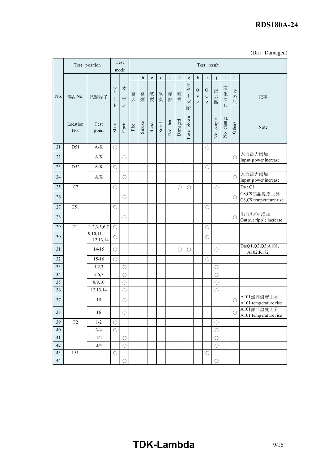# RDS180A-24

| (Da: Damaged) |  |
|---------------|--|
|---------------|--|

|                 |                     |                                  |            |                                         |                       |             |             |             |         |                  |              |                                                   |                                     |                       |           |                               | <b>RDS180A-24</b>                   |
|-----------------|---------------------|----------------------------------|------------|-----------------------------------------|-----------------------|-------------|-------------|-------------|---------|------------------|--------------|---------------------------------------------------|-------------------------------------|-----------------------|-----------|-------------------------------|-------------------------------------|
|                 |                     |                                  |            |                                         |                       |             |             |             |         |                  |              |                                                   |                                     |                       |           |                               |                                     |
|                 |                     |                                  |            | Test                                    |                       |             |             |             |         |                  |              |                                                   |                                     |                       |           |                               | (Da: Damaged)                       |
|                 |                     | Test position                    |            | mode                                    |                       |             |             |             |         |                  |              |                                                   | Test result                         |                       |           |                               |                                     |
|                 |                     |                                  |            |                                         | $\rm{a}$              | $\mathbf b$ | $\mathbf c$ | $\mathbf d$ | $\rm e$ | $\boldsymbol{f}$ | $\mathbf{g}$ | $\,$ h                                            | $\mathbf{i}$                        | i                     | $\bf k$   | $\mathbf{1}$                  |                                     |
| No.             | 部品No.               | 試験端子                             | ショ<br>ŀ    | オ<br>1<br>$\mathcal{I}$<br>$\checkmark$ | 発火                    | 発煙          | 破裂          | 異臭          | 赤<br>熱  | 破<br>損           | ヒュ<br>ズ<br>断 | ${\rm O}$<br>$\ensuremath{\text{V}}$<br>${\bf P}$ | ${\rm O}$<br>${\bf C}$<br>${\bf P}$ | 出力断                   | 変化な<br>L  | $\zeta$<br>$\mathcal{O}$<br>他 | 記事                                  |
|                 | Location<br>No.     | Test<br>point                    | Short      | ${\rm Open}$                            | $\operatorname{Fire}$ | Smoke       | Burst       | Smell       | Red hot | Damaged          | Fuse blown   |                                                   |                                     | No output             | No change | Others                        | Note                                |
| $21\,$          | D51                 | $\mathrm{A}\text{-}\mathrm{K}$   | $\bigcirc$ |                                         |                       |             |             |             |         |                  |              |                                                   | $\bigcirc$                          |                       |           |                               |                                     |
| 22              |                     | $\mathbf{A}/\mathbf{K}$          |            | $\bigcirc$                              |                       |             |             |             |         |                  |              |                                                   |                                     |                       |           | O                             | 入力電力増加<br>Input power increase      |
| 23              | D52                 | $\mathrm{A}\text{-}\mathrm{K}$   | $\bigcirc$ |                                         |                       |             |             |             |         |                  |              |                                                   | $\bigcirc$                          |                       |           |                               |                                     |
| 24              |                     | $\mathbf{A}/\mathbf{K}$          |            | $\bigcirc$                              |                       |             |             |             |         |                  |              |                                                   |                                     |                       |           | $\bigcirc$                    | 入力電力増加<br>Input power increase      |
| $25\,$          | $\mathbf{C}7$       |                                  | $\bigcirc$ |                                         |                       |             |             |             |         | $\bigcirc$       | $\bigcirc$   |                                                   |                                     | $\circ$               |           |                               | Da:Q1                               |
| 26              |                     |                                  |            | $\bigcirc$                              |                       |             |             |             |         |                  |              |                                                   |                                     |                       |           | O                             | C8,C9部品温度上昇                         |
| $27\,$          | C51                 |                                  | $\bigcirc$ |                                         |                       |             |             |             |         |                  |              |                                                   | $\bigcirc$                          |                       |           |                               | C8,C9 temperature rise              |
| $28\,$          |                     |                                  |            | $\bigcirc$                              |                       |             |             |             |         |                  |              |                                                   |                                     |                       |           | $\circlearrowright$           | 出力リプル増加                             |
| $29\,$          | T1                  | $\overline{1,2,3-5,6,7}$ $\circ$ |            |                                         |                       |             |             |             |         |                  |              |                                                   | $\bigcirc$                          |                       |           |                               | Output ripple increase              |
| $30\,$          |                     | $9,10,11-$                       | $\bigcirc$ |                                         |                       |             |             |             |         |                  |              |                                                   | $\circlearrowright$                 |                       |           |                               |                                     |
|                 |                     | 12, 13, 14                       |            |                                         |                       |             |             |             |         |                  |              |                                                   |                                     |                       |           |                               | Da:Q1,Q2,Q3,A101,                   |
| 31              |                     | $14 - 15$                        | $\bigcirc$ |                                         |                       |             |             |             |         | $\bigcirc$       | $\bigcirc$   |                                                   |                                     | $\bigcirc$            |           |                               | A102,R172                           |
| 32<br>33        |                     | $15 - 16$                        | $\bigcirc$ |                                         |                       |             |             |             |         |                  |              |                                                   | $\bigcirc$                          |                       |           |                               |                                     |
| 34              |                     | 1,2,3<br>5,6,7                   |            | $\bigcirc$<br>$\bigcirc$                |                       |             |             |             |         |                  |              |                                                   |                                     | $\bigcirc$<br>$\circ$ |           |                               |                                     |
| $\overline{35}$ |                     | 8,9,10                           |            | $\circ$                                 |                       |             |             |             |         |                  |              |                                                   |                                     | $\bigcirc$            |           |                               |                                     |
| $\overline{36}$ |                     | 12,13,14                         |            | $\bigcirc$                              |                       |             |             |             |         |                  |              |                                                   |                                     | $\overline{\bigcirc}$ |           |                               |                                     |
| 37              |                     | 15                               |            | $\bigcirc$                              |                       |             |             |             |         |                  |              |                                                   |                                     |                       |           | O                             | A101部品温度上昇<br>A101 temperature rise |
| 38              |                     | 16                               |            | $\bigcirc$                              |                       |             |             |             |         |                  |              |                                                   |                                     |                       |           | O                             | A101部品温度上昇<br>A101 temperature rise |
| 39              | $\operatorname{T2}$ | $1 - 2$                          | $\bigcirc$ |                                         |                       |             |             |             |         |                  |              |                                                   |                                     | $\bigcirc$            |           |                               |                                     |
| $40\,$          |                     | $3-4$                            | $\bigcirc$ |                                         |                       |             |             |             |         |                  |              |                                                   |                                     | $\circ$               |           |                               |                                     |
| 41              |                     | $1/2\,$                          |            | $\bigcirc$                              |                       |             |             |             |         |                  |              |                                                   |                                     | $\bigcirc$            |           |                               |                                     |
| 42              |                     | $3/4$                            |            | $\bigcirc$                              |                       |             |             |             |         |                  |              |                                                   |                                     | $\circ$               |           |                               |                                     |
| 43<br>44        | L51                 |                                  | $\bigcirc$ | $\bigcirc$                              |                       |             |             |             |         |                  |              |                                                   | $\bigcirc$                          | $\bigcirc$            |           |                               |                                     |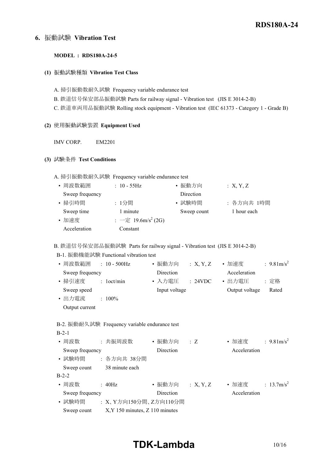# 6. 振動試験 Vibration Test

#### MODEL : RDS180A-24-5

(1) 振動試験種類 Vibration Test Class

A. 掃引振動数耐久試験 Frequency variable endurance test B. 鉄道信号保安部品振動試験 Parts for railway signal - Vibration test (JIS E 3014-2-B) C. 鉄道車両用品振動試験 Rolling stock equipment - Vibration test (IEC 61373 - Category 1 - Grade B)

- (2) 使用振動試験装置 Equipment Used
	- IMV CORP. EM2201

#### (3) 試験条件 Test Conditions

A. 掃引振動数耐久試験 Frequency variable endurance test

| • 周波数範囲         | $: 10 - 55$ Hz                 | • 振動方向      | : X, Y, Z   |
|-----------------|--------------------------------|-------------|-------------|
| Sweep frequency |                                | Direction   |             |
| • 掃引時間          | :1分間                           | • 試験時間      | : 各方向共 1時間  |
| Sweep time      | 1 minute                       | Sweep count | 1 hour each |
| • 加速度           | : 一定 19.6m/s <sup>2</sup> (2G) |             |             |
| Acceleration    | Constant                       |             |             |

B. 鉄道信号保安部品振動試験 Parts for railway signal - Vibration test (JIS E 3014-2-B)

B-1. 振動機能試験 Functional vibration test

| • 周波数範囲<br>$: 10 - 500$ Hz | • 振動方向<br>: X, Y, Z | : 9.81m/s <sup>2</sup><br>• 加速度 |
|----------------------------|---------------------|---------------------------------|
| Sweep frequency            | Direction           | Acceleration                    |
| • 掃引速度<br>$:$ 1 oct/min    | • 入力雷圧<br>: 24VDC   | : 定格<br>• 出力雷圧                  |
| Sweep speed                | Input voltage       | Output voltage<br>Rated         |
| • 出力電流<br>$: 100\%$        |                     |                                 |
| Output current             |                     |                                 |

|  | B-2. 振動耐久試験 Frequency variable endurance test |
|--|-----------------------------------------------|
|--|-----------------------------------------------|

| $B-2-1$         |                                     |                  |             |              |                       |
|-----------------|-------------------------------------|------------------|-------------|--------------|-----------------------|
| • 周波数           | : 共振周波数                             | • 振動方向           | $\cdot$ : Z | • 加速度        | : $9.81 \text{m/s}^2$ |
| Sweep frequency |                                     | Direction        |             | Acceleration |                       |
| • 試験時間          | : 各方向共 38分間                         |                  |             |              |                       |
| Sweep count     | 38 minute each                      |                  |             |              |                       |
| $B-2-2$         |                                     |                  |             |              |                       |
| • 周波数           | $\pm 40$ Hz                         | • 振動方向 : X, Y, Z |             | • 加速度        | : $13.7 \text{m/s}^2$ |
| Sweep frequency |                                     | Direction        |             | Acceleration |                       |
| • 試験時間          | : X、Y方向150分間、Z方向110分間               |                  |             |              |                       |
| Sweep count     | $X, Y$ 150 minutes, $Z$ 110 minutes |                  |             |              |                       |

# TDK-Lambda 10/16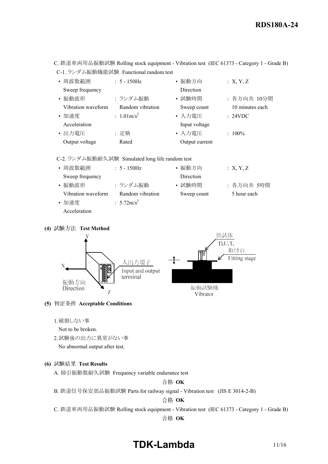C. 鉄道車両用品振動試験 Rolling stock equipment - Vibration test (IEC 61373 - Category 1 - Grade B) C-1. ランダム振動機能試験 Functional random test

| • 周波数範囲            | $: 5 - 150$ Hz        | • 振動方向         | :X, Y, Z        |
|--------------------|-----------------------|----------------|-----------------|
| Sweep frequency    |                       | Direction      |                 |
| • 振動波形             | : ランダム振動              | • 試験時間         | : 各方向共 10分間     |
| Vibration waveform | Random vibration      | Sweep count    | 10 minutes each |
| • 加速度              | : $1.01 \text{m/s}^2$ | • 入力電圧         | : 24VDC         |
| Acceleration       |                       | Input voltage  |                 |
| • 出力電圧             | : 定格                  | • 入力電圧         | $: 100\%$       |
| Output voltage     | Rated                 | Output current |                 |

C-2. ランダム振動耐久試験 Simulated long life random test

| • 周波数範囲            | $: 5 - 150$ Hz        | • 振動方向           | : X, Y, Z   |
|--------------------|-----------------------|------------------|-------------|
| Sweep frequency    |                       | <b>Direction</b> |             |
| • 振動波形             | : ランダム振動              | • 試験時間           | : 各方向共 5時間  |
| Vibration waveform | Random vibration      | Sweep count      | 5 hour each |
| • 加速度              | : $5.72 \text{m/s}^2$ |                  |             |
| Acceleration       |                       |                  |             |

(4) 試験方法 Test Method



## (5) 判定条件 Acceptable Conditions

1.破損しない事

Not to be broken.

2.試験後の出力に異常がない事

No abnormal output after test.

### (6) 試験結果 Test Results

A. 掃引振動数耐久試験 Frequency variable endurance test

合格 OK

B. 鉄道信号保安部品振動試験 Parts for railway signal - Vibration test (JIS E 3014-2-B)

合格 OK

C. 鉄道車両用品振動試験 Rolling stock equipment - Vibration test (IEC 61373 - Category 1 - Grade B)

合格 OK

# TDK-Lambda 11/16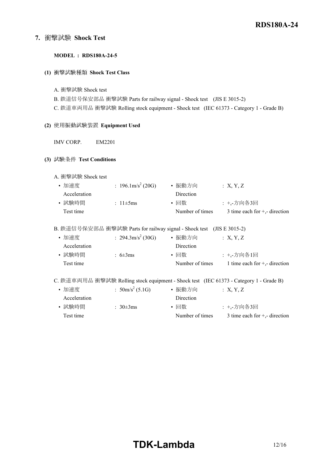# 7. 衝擊試験 Shock Test

#### MODEL : RDS180A-24-5

#### (1) 衝撃試験種類 Shock Test Class

A. 衝撃試験 Shock test

B. 鉄道信号保安部品 衝撃試験 Parts for railway signal - Shock test (JIS E 3015-2)

C. 鉄道車両用品 衝撃試験 Rolling stock equipment - Shock test (IEC 61373 - Category 1 - Grade B)

## (2) 使用振動試験装置 Equipment Used

IMV CORP. EM2201

#### (3) 試験条件 Test Conditions

A. 衝撃試験 Shock test

| • 加速度        | : $196.1 \text{m/s}^2$ (20G) | • 振動方向           | $\therefore$ X, Y, Z            |
|--------------|------------------------------|------------------|---------------------------------|
| Acceleration |                              | <b>Direction</b> |                                 |
| • 試験時間       | : $11\pm 5$ ms               | • 回数             | : +,-方向各3回                      |
| Test time    |                              | Number of times  | 3 time each for $+$ , direction |

#### B. 鉄道信号保安部品 衝撃試験 Parts for railway signal - Shock test (JIS E 3015-2)

| • 加速度        | : $294.3 \text{m/s}^2 (30 \text{G})$ | • 振動方向          | : X, Y, Z                                                                              |
|--------------|--------------------------------------|-----------------|----------------------------------------------------------------------------------------|
| Acceleration |                                      | Direction       |                                                                                        |
| • 試験時間       | : $6\pm3ms$                          | • 回数            | : +,-方向各1回                                                                             |
| Test time    |                                      | Number of times | 1 time each for $+$ , direction                                                        |
|              |                                      |                 |                                                                                        |
|              |                                      |                 | C. 鉄道車両用品 衝撃試験 Rolling stock equipment - Shock test (IEC 61373 - Category 1 - Grade B) |
| - 一九九十一年     | $50m/a^2$ (5.1C)                     | ,也新七点           | $\cdot$ v $\cdot$ $\cdot$                                                              |

| ● 加球投        | $:$ JUM/S (J.IG) | 1展(到) 刀 1円      | $\therefore$ $\Lambda$ , $\Lambda$ , $\Lambda$ |
|--------------|------------------|-----------------|------------------------------------------------|
| Acceleration |                  | Direction       |                                                |
| • 試験時間       | : $30\pm3ms$     | • 回数            | : +.-方向各3回                                     |
| Test time    |                  | Number of times | 3 time each for $+$ , direction                |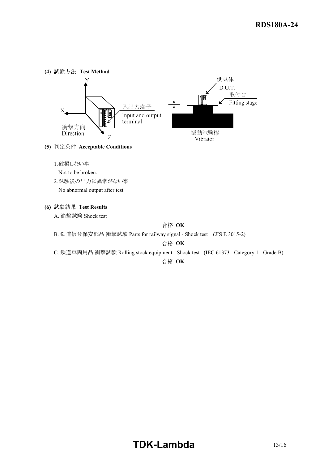

- (5) 判定条件 Acceptable Conditions
	- 1.破損しない事

Not to be broken.

2.試験後の出力に異常がない事 No abnormal output after test.

(6) 試験結果 Test Results

A. 衝撃試験 Shock test

合格 OK

B. 鉄道信号保安部品 衝撃試験 Parts for railway signal - Shock test (JIS E 3015-2)

合格 OK

C. 鉄道車両用品 衝撃試験 Rolling stock equipment - Shock test (IEC 61373 - Category 1 - Grade B)

合格 OK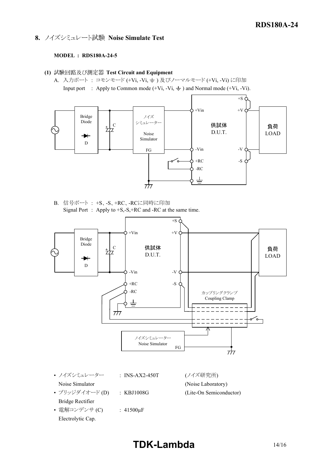# 8. ノイズシミュレート試験 Noise Simulate Test

## MODEL : RDS180A-24-5

- (1) 試験回路及び測定器 Test Circuit and Equipment
	- A. 入力ポート: コモンモード (+Vi, -Vi,  $\pm$ ) 及びノーマルモード (+Vi, -Vi) に印加 Input port : Apply to Common mode  $(+Vi, -Vi, \frac{1}{\sqrt{2}})$  and Normal mode  $(+Vi, -Vi)$ .



B. 信号ポート : +S、-S、+RC、-RCに同時に印加 Signal Port : Apply to +S,-S,+RC and -RC at the same time.



• ノイズシミュレーター : INS-AX2-450T (ノイズ研究所) Noise Simulator (Noise Laboratory) • ブリッジダイオード (D) : KBJ1008G (Lite-On Semiconductor) Bridge Rectifier • 電解コンデンサ (C) : 41500μF

Electrolytic Cap.

# TDK-Lambda 14/16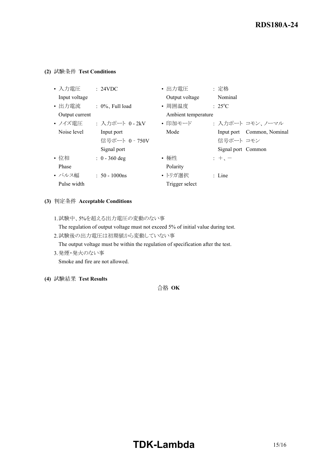## (2) 試験条件 Test Conditions

| • 入力電圧         | : 24VDC             | • 出力電圧              | : 定格                       |
|----------------|---------------------|---------------------|----------------------------|
| Input voltage  |                     | Output voltage      | Nominal                    |
| • 出力電流         | $: 0\%$ . Full load | • 周囲温度              | $: 25^{\circ}C$            |
| Output current |                     | Ambient temperature |                            |
| • ノイズ電圧        | : 入力ポート 0 - 2kV     | • 印加モード             | : 入力ポート コモン、ノーマル           |
| Noise level    | Input port          | Mode                | Input port Common, Nominal |
|                | 信号ポート 0 - 750V      |                     | 信号ポート コモン                  |
|                | Signal port         |                     | Signal port Common         |
| ・位相            | $: 0 - 360$ deg     | • 極性                | $+$ , $-$                  |
| Phase          |                     | Polarity            |                            |
| • パルス幅         | $: 50 - 1000$ ns    | • トリガ選択             | : Line                     |
| Pulse width    |                     | Trigger select      |                            |

## (3) 判定条件 Acceptable Conditions

1.試験中、5%を超える出力電圧の変動のない事

The regulation of output voltage must not exceed 5% of initial value during test.

2.試験後の出力電圧は初期値から変動していない事

The output voltage must be within the regulation of specification after the test.

3.発煙・発火のない事

Smoke and fire are not allowed.

(4) 試験結果 Test Results

合格 OK